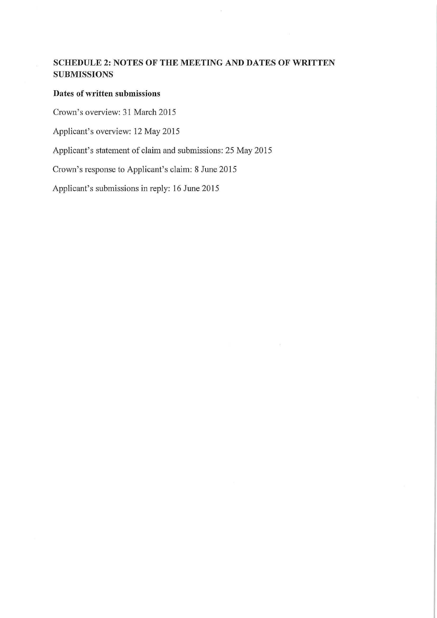# **SCHEDULE** 2: NOTES **OF THE MEETING AND DATES OF WRITTEN SUBMISSIONS**

## **Dates of written submissions**

Crown's overview: 31 March 2015

Applicant's overview: 12 May 2015

Applicant's statement of claim and submissions: 25 May 2015

Crown's response to Applicant's claim: 8 June 2015

Applicant's submissions in reply: 16 June 2015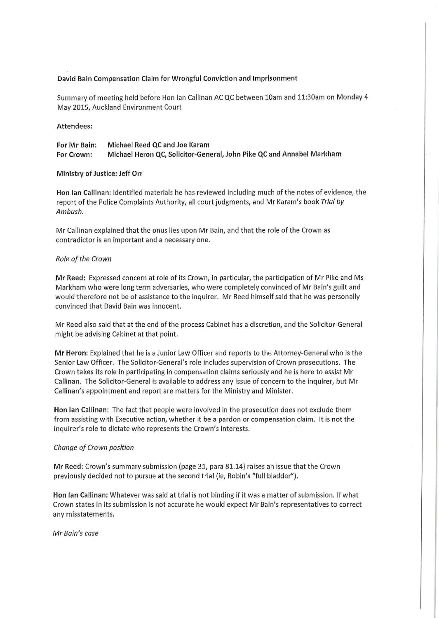#### David Bain Compensation Claim for Wrongful Conviction and Imprisonment

Summary of meeting held before Hon Ian Callinan AC QC between lOam and 11:30am on Monday 4 May 2015, Auckland Environment Court

#### Attendees:

| For Mr Bain: | Michael Reed QC and Joe Karam                                         |
|--------------|-----------------------------------------------------------------------|
| For Crown:   | Michael Heron QC, Solicitor-General, John Pike QC and Annabel Markham |

#### Ministry of Justice: Jeff Orr

Hon Ian Callinan: Identified materials he has reviewed Including much of the notes of evidence, the report of the Police Complaints Authority, all court judgments, and Mr Karam's book *Trial* by *Ambush.* 

Mr Callinan explained that the onus lies upon Mr Bain, and that the role of the Crown as contradictor is an important and a necessary one.

#### *Role of the Crown*

Mr Reed: Expressed concern at role of its Crown, in particular, the participation of Mr Pike and Ms Markham who were long term adversaries, who were completely convinced of Mr Bain's guilt and would therefore not be of assistance to the inquirer. Mr Reed himself said that he was personally convinced that David Bain was Innocent.

Mr Reed also said that at the end of the process Cabinet has a discretion, and the Solicitor-General might be adVising Cabinet at that point.

Mr Heron: Explained that he is a Junior Law Officer and reports to the Attorney-General who is the Senior Law Officer. The Solicitor-General's role includes supervision of Crown prosecutions. The Crown takes its role in participating In compensation claims seriously and he is here to assist Mr Callinan. The Solicitor-General is available to address any issue of concern to the inquirer, but Mr Callinan's appointment and report are matters for the Ministry and Minister.

Hon Ian Callinan: The fact that people were involved in the prosecution does not exclude them from assisting with Executive action, whether it be a pardon or compensation claim. It is not the inquirer's role to dictate who represents the Crown's interests.

### *Change of Crown position*

Mr Reed: Crown's summary submission (page 31, para 81.14) raises an issue that the Crown previously decided not to pursue at the second trial (ie, Robin's "full bladder").

Hon Ian Callinan: Whatever was said at trial is not binding if it was a matter of submission. If what Crown states in its submission is not accurate he would expect Mr Bain's representatives to correct any misstatements.

*Mr 8ain's cose*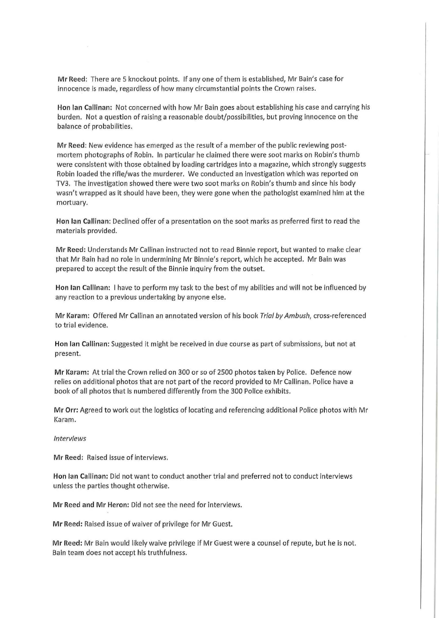Mr Reed: There are 5 knockout points. If anyone of them is established, Mr Bain's case for innocence Is made, regardless of how many circumstantial points the Crown raises.

Han Ian Callinan: Not concerned with how Mr Bain goes about establishing his case and carrying his burden. Not a question of raising a reasonable doubt/possibilities, but proving innocence on the balance of probabilities.

Mr Reed: New evidence has emerged as the result of a member of the public reviewing postmortem photographs of Robin. In particular he claimed there were soot marks on Robin's thumb were consistent with those obtained by loading cartridges into a magazine, which strongly suggests Robin loaded the rifle/ was the murderer. We conducted an Investigation which was reported on TV3. The investigation showed there were two soot marks on Robin's thumb and since his body wasn't wrapped as it should have been, they were gone when the pathologist examined him at the mortuary.

Han Ian Callinan: Declined offer of a presentation on the soot marks as preferred first to read the materials provided.

Mr Reed: Understands Mr Callinan instructed not to read Binnie report, but wanted to make clear that Mr Bain had no role in undermining Mr Binnie's report, which he accepted. Mr Bain was prepared to accept the result of the Binnie Inquiry from the outset.

Han Ian Callinan: I have to perform my task to the best of my abilities and will not be influenced by any reaction to a previous undertaking by anyone else.

Mr Karam: Offered Mr Callinan an annotated version of his book *Trial by Ambush,* cross-referenced to trial evidence.

Han Ian Callinan: Suggested it might be received in due course as part of submissions, but not at present.

Mr Karam: At trial the Crown relied on 300 or so of 2500 photos taken by Police. Defence now relies on additional photos that are not part of the record provided to Mr Callinan. Police have a book of all photos that is numbered differently from the 300 Police exhibits.

Mr Orr: Agreed to work out the logistics of locating and referencing additional Police photos with Mr Karam.

#### *Interviews*

Mr Reed: Raised issue of interviews.

Han Ian Callinan: Did not want to conduct another trial and preferred not to conduct interviews unless the parties thought otherwise.

Mr Reed and Mr Heron: Did not see the need for interviews.

Mr Reed: Raised issue of waiver of privilege for Mr Guest.

Mr Reed: Mr Bain would likely waive privilege if Mr Guest were a counsel of repute, but he is not. Baln team does not accept his truthfulness.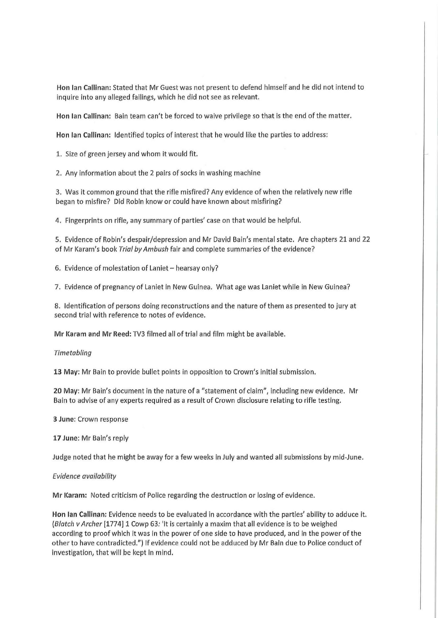Han Ian Callinan: Stated that Mr Guest was not present to defend himself and he did not intend to inquire into any alleged failings, which he did not see as relevant.

Hon Ian Callinan: Bain team can't be forced to waive privilege so that is the end of the matter.

Hon Ian Callinan: Identified topics of interest that he would like the parties to address:

1. Size of green jersey and whom it would fit.

2. Any information about the 2 pairs of socks in washing machine

3. Was it common ground that the rifle misfired? Any evidence of when the relatively new rifle began to misfire? Did Robin know or could have known about misfiring?

4. Fingerprints on rifle, any summary of parties' case on that would be helpful.

5. Evidence of Robin's despair/depression and Mr David Bain's mental state. Are chapters 21 and 22 of Mr Karam's book *Trial by Ambush* fair and complete summaries of the evidence?

6. Evidence of molestation of Laniet - hearsay only?

7. Evidence of pregnancy of Laniet in New Guinea. What age was Laniet while in New Guinea?

8. Identification of persons doing reconstructions and the nature of them as presented to jury at second trial with reference to notes of evidence.

Mr Karam and Mr Reed: TV3 filmed all of trial and film might be available.

*Timetabling* 

13 May: Mr Bain to provide bullet points in opposition to Crown's initial submission.

20 May: Mr Bain's document in the nature of a "statement of claim", including new evidence. Mr Bain to advise of any experts required as a result of Crown disclosure relating to rifle testing.

3 June: Crown response

17 June: Mr Bain's reply

Judge noted that he might be away for a few weeks in July and wanted all submissions by mid-June.

#### *Evidence availability*

Mr Karam: Noted criticism of Police regarding the destruction or losing of evidence.

Hon Ian Callinan: Evidence needs to be evaluated in accordance with the parties' ability to adduce it. *(Blotch* v *Archer* [1774]1 Cowp 63: 'It is certainly a maxim that all evidence Is to be weighed according to proof which it was In the power of one side to have produced, and in the power of the other to have contradicted.") If evidence could not be adduced by Mr Bain due to Police conduct of investigation, that will be kept in mind.